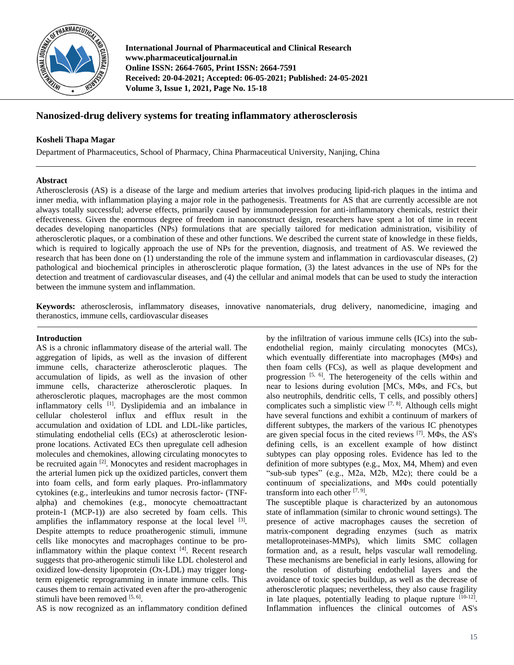

**International Journal of Pharmaceutical and Clinical Research www.pharmaceuticaljournal.in Online ISSN: 2664-7605, Print ISSN: 2664-7591 Received: 20-04-2021; Accepted: 06-05-2021; Published: 24-05-2021 Volume 3, Issue 1, 2021, Page No. 15-18**

# **Nanosized-drug delivery systems for treating inflammatory atherosclerosis**

## **Kosheli Thapa Magar**

Department of Pharmaceutics, School of Pharmacy, China Pharmaceutical University, Nanjing, China

## **Abstract**

Atherosclerosis (AS) is a disease of the large and medium arteries that involves producing lipid-rich plaques in the intima and inner media, with inflammation playing a major role in the pathogenesis. Treatments for AS that are currently accessible are not always totally successful; adverse effects, primarily caused by immunodepression for anti-inflammatory chemicals, restrict their effectiveness. Given the enormous degree of freedom in nanoconstruct design, researchers have spent a lot of time in recent decades developing nanoparticles (NPs) formulations that are specially tailored for medication administration, visibility of atherosclerotic plaques, or a combination of these and other functions. We described the current state of knowledge in these fields, which is required to logically approach the use of NPs for the prevention, diagnosis, and treatment of AS. We reviewed the research that has been done on (1) understanding the role of the immune system and inflammation in cardiovascular diseases, (2) pathological and biochemical principles in atherosclerotic plaque formation, (3) the latest advances in the use of NPs for the detection and treatment of cardiovascular diseases, and (4) the cellular and animal models that can be used to study the interaction between the immune system and inflammation.

**Keywords:** atherosclerosis, inflammatory diseases, innovative nanomaterials, drug delivery, nanomedicine, imaging and theranostics, immune cells, cardiovascular diseases

### **Introduction**

AS is a chronic inflammatory disease of the arterial wall. The aggregation of lipids, as well as the invasion of different immune cells, characterize atherosclerotic plaques. The accumulation of lipids, as well as the invasion of other immune cells, characterize atherosclerotic plaques. In atherosclerotic plaques, macrophages are the most common inflammatory cells [1]. Dyslipidemia and an imbalance in cellular cholesterol influx and efflux result in the accumulation and oxidation of LDL and LDL-like particles, stimulating endothelial cells (ECs) at atherosclerotic lesionprone locations. Activated ECs then upregulate cell adhesion molecules and chemokines, allowing circulating monocytes to be recruited again <sup>[2]</sup>. Monocytes and resident macrophages in the arterial lumen pick up the oxidized particles, convert them into foam cells, and form early plaques. Pro-inflammatory cytokines (e.g., interleukins and tumor necrosis factor- (TNFalpha) and chemokines (e.g., monocyte chemoattractant protein-1 (MCP-1)) are also secreted by foam cells. This amplifies the inflammatory response at the local level  $[3]$ . Despite attempts to reduce proatherogenic stimuli, immune cells like monocytes and macrophages continue to be proinflammatory within the plaque context [4]. Recent research suggests that pro-atherogenic stimuli like LDL cholesterol and oxidized low-density lipoprotein (Ox-LDL) may trigger longterm epigenetic reprogramming in innate immune cells. This causes them to remain activated even after the pro-atherogenic stimuli have been removed [5, 6].

AS is now recognized as an inflammatory condition defined

by the infiltration of various immune cells (ICs) into the subendothelial region, mainly circulating monocytes (MCs), which eventually differentiate into macrophages (MΦs) and then foam cells (FCs), as well as plaque development and progression  $[5, 6]$ . The heterogeneity of the cells within and near to lesions during evolution [MCs, MΦs, and FCs, but also neutrophils, dendritic cells, T cells, and possibly others] complicates such a simplistic view  $[7, 8]$ . Although cells might have several functions and exhibit a continuum of markers of different subtypes, the markers of the various IC phenotypes are given special focus in the cited reviews [7]. MΦs, the AS's defining cells, is an excellent example of how distinct subtypes can play opposing roles. Evidence has led to the definition of more subtypes (e.g., Mox, M4, Mhem) and even "sub-sub types" (e.g., M2a, M2b, M2c); there could be a continuum of specializations, and MΦs could potentially transform into each other  $[7, 9]$ .

The susceptible plaque is characterized by an autonomous state of inflammation (similar to chronic wound settings). The presence of active macrophages causes the secretion of matrix-component degrading enzymes (such as matrix metalloproteinases-MMPs), which limits SMC collagen formation and, as a result, helps vascular wall remodeling. These mechanisms are beneficial in early lesions, allowing for the resolution of disturbing endothelial layers and the avoidance of toxic species buildup, as well as the decrease of atherosclerotic plaques; nevertheless, they also cause fragility in late plaques, potentially leading to plaque rupture [10-12]. Inflammation influences the clinical outcomes of AS's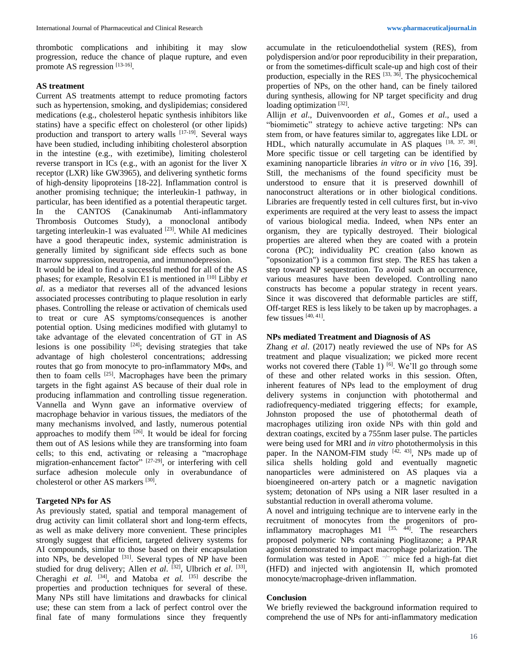thrombotic complications and inhibiting it may slow progression, reduce the chance of plaque rupture, and even promote AS regression [13-16].

#### **AS treatment**

Current AS treatments attempt to reduce promoting factors such as hypertension, smoking, and dyslipidemias; considered medications (e.g., cholesterol hepatic synthesis inhibitors like statins) have a specific effect on cholesterol (or other lipids) production and transport to artery walls [17-19]. Several ways have been studied, including inhibiting cholesterol absorption in the intestine (e.g., with ezetimibe), limiting cholesterol reverse transport in ICs (e.g., with an agonist for the liver X receptor (LXR) like GW3965), and delivering synthetic forms of high-density lipoproteins [18-22]. Inflammation control is another promising technique; the interleukin-1 pathway, in particular, has been identified as a potential therapeutic target. In the CANTOS (Canakinumab Anti-inflammatory Thrombosis Outcomes Study), a monoclonal antibody targeting interleukin-1 was evaluated  $[23]$ . While AI medicines have a good therapeutic index, systemic administration is generally limited by significant side effects such as bone marrow suppression, neutropenia, and immunodepression. It would be ideal to find a successful method for all of the AS phases; for example, Resolvin E1 is mentioned in [10] Libby *et al*. as a mediator that reverses all of the advanced lesions associated processes contributing to plaque resolution in early phases. Controlling the release or activation of chemicals used to treat or cure AS symptoms/consequences is another potential option. Using medicines modified with glutamyl to take advantage of the elevated concentration of GT in AS lesions is one possibility  $[24]$ ; devising strategies that take advantage of high cholesterol concentrations; addressing routes that go from monocyte to pro-inflammatory MΦs, and then to foam cells [25]. Macrophages have been the primary targets in the fight against AS because of their dual role in producing inflammation and controlling tissue regeneration. Vannella and Wynn gave an informative overview of macrophage behavior in various tissues, the mediators of the many mechanisms involved, and lastly, numerous potential approaches to modify them  $[26]$ . It would be ideal for forcing them out of AS lesions while they are transforming into foam cells; to this end, activating or releasing a "macrophage migration-enhancement factor" [27-29], or interfering with cell surface adhesion molecule only in overabundance of cholesterol or other AS markers [30].

### **Targeted NPs for AS**

As previously stated, spatial and temporal management of drug activity can limit collateral short and long-term effects, as well as make delivery more convenient. These principles strongly suggest that efficient, targeted delivery systems for AI compounds, similar to those based on their encapsulation into NPs, be developed <sup>[31]</sup>. Several types of NP have been studied for drug delivery; Allen *et al.* <sup>[32]</sup>, Ulbrich *et al.* <sup>[33]</sup>, Cheraghi *et al*. [34], and Matoba *et al.* [35] describe the properties and production techniques for several of these. Many NPs still have limitations and drawbacks for clinical use; these can stem from a lack of perfect control over the final fate of many formulations since they frequently

accumulate in the reticuloendothelial system (RES), from polydispersion and/or poor reproducibility in their preparation, or from the sometimes-difficult scale-up and high cost of their production, especially in the RES  $[33, 36]$ . The physicochemical properties of NPs, on the other hand, can be finely tailored during synthesis, allowing for NP target specificity and drug loading optimization<sup>[32]</sup>.

Allijn *et al*., Duivenvoorden *et al*., Gomes *et al*., used a "biomimetic" strategy to achieve active targeting: NPs can stem from, or have features similar to, aggregates like LDL or HDL, which naturally accumulate in AS plaques  $[18, 37, 38]$ . More specific tissue or cell targeting can be identified by examining nanoparticle libraries *in vitro* or *in vivo* [16, 39]. Still, the mechanisms of the found specificity must be understood to ensure that it is preserved downhill of nanoconstruct alterations or in other biological conditions. Libraries are frequently tested in cell cultures first, but in-vivo experiments are required at the very least to assess the impact of various biological media. Indeed, when NPs enter an organism, they are typically destroyed. Their biological properties are altered when they are coated with a protein corona (PC); individuality PC creation (also known as "opsonization") is a common first step. The RES has taken a step toward NP sequestration. To avoid such an occurrence, various measures have been developed. Controlling nano constructs has become a popular strategy in recent years. Since it was discovered that deformable particles are stiff, Off-target RES is less likely to be taken up by macrophages. a few tissues [40, 41].

### **NPs mediated Treatment and Diagnosis of AS**

Zhang *et al*. (2017) neatly reviewed the use of NPs for AS treatment and plaque visualization; we picked more recent works not covered there (Table 1)  $[6]$ . We'll go through some of these and other related works in this session. Often, inherent features of NPs lead to the employment of drug delivery systems in conjunction with photothermal and radiofrequency-mediated triggering effects; for example, Johnston proposed the use of photothermal death of macrophages utilizing iron oxide NPs with thin gold and dextran coatings, excited by a 755nm laser pulse. The particles were being used for MRI and *in vitro* photothermolysis in this paper. In the NANOM-FIM study  $[42, 43]$ , NPs made up of silica shells holding gold and eventually magnetic nanoparticles were administered on AS plaques via a bioengineered on-artery patch or a magnetic navigation system; detonation of NPs using a NIR laser resulted in a substantial reduction in overall atheroma volume.

A novel and intriguing technique are to intervene early in the recruitment of monocytes from the progenitors of proinflammatory macrophages  $M1$   $[35, 44]$ . The researchers proposed polymeric NPs containing Pioglitazone; a PPAR agonist demonstrated to impact macrophage polarization. The formulation was tested in ApoE  $\neg$  mice fed a high-fat diet (HFD) and injected with angiotensin II, which promoted monocyte/macrophage-driven inflammation.

#### **Conclusion**

We briefly reviewed the background information required to comprehend the use of NPs for anti-inflammatory medication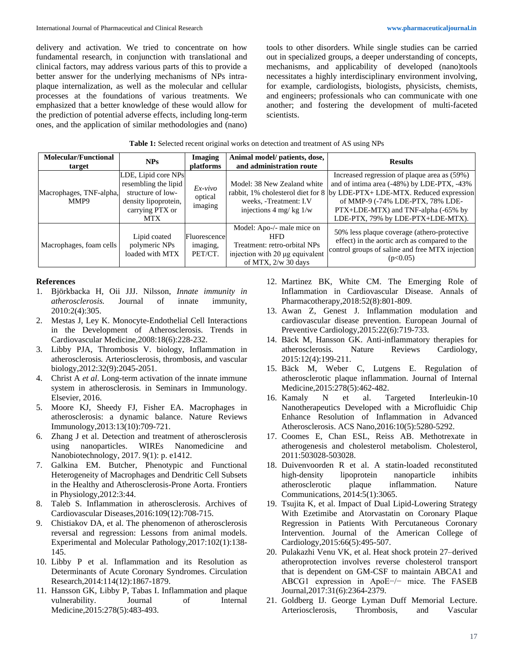delivery and activation. We tried to concentrate on how fundamental research, in conjunction with translational and clinical factors, may address various parts of this to provide a better answer for the underlying mechanisms of NPs intraplaque internalization, as well as the molecular and cellular processes at the foundations of various treatments. We emphasized that a better knowledge of these would allow for the prediction of potential adverse effects, including long-term ones, and the application of similar methodologies and (nano)

tools to other disorders. While single studies can be carried out in specialized groups, a deeper understanding of concepts, mechanisms, and applicability of developed (nano)tools necessitates a highly interdisciplinary environment involving, for example, cardiologists, biologists, physicists, chemists, and engineers; professionals who can communicate with one another; and fostering the development of multi-faceted scientists.

| <b>Table 1:</b> Selected recent original works on detection and treatment of AS using NPs |  |  |  |
|-------------------------------------------------------------------------------------------|--|--|--|
|                                                                                           |  |  |  |

| <b>Molecular/Functional</b><br>target | <b>NPs</b>                                                                                                                | Imaging<br>platforms                | Animal model/ patients, dose,<br>and administration route                                                                            | <b>Results</b>                                                                                                                                                                                                                                                                          |
|---------------------------------------|---------------------------------------------------------------------------------------------------------------------------|-------------------------------------|--------------------------------------------------------------------------------------------------------------------------------------|-----------------------------------------------------------------------------------------------------------------------------------------------------------------------------------------------------------------------------------------------------------------------------------------|
| Macrophages, TNF-alpha,<br>MMP9       | LDE, Lipid core NPs<br>resembling the lipid<br>structure of low-<br>density lipoprotein,<br>carrying PTX or<br><b>MTX</b> | $Ex-vivo$<br>optical<br>imaging     | Model: 38 New Zealand white<br>weeks, -Treatment: I.V<br>injections 4 mg/ kg $1/w$                                                   | Increased regression of plaque area as (59%)<br>and of intima area (-48%) by LDE-PTX, -43%<br>rabbit, 1% cholesterol diet for 8 by LDE-PTX+ LDE-MTX. Reduced expression<br>of MMP-9 (-74% LDE-PTX, 78% LDE-<br>PTX+LDE-MTX) and TNF-alpha (-65% by<br>LDE-PTX, 79% by LDE-PTX+LDE-MTX). |
| Macrophages, foam cells               | Lipid coated<br>polymeric NPs<br>loaded with MTX                                                                          | Fluorescence<br>imaging,<br>PET/CT. | Model: Apo-/- male mice on<br><b>HFD</b><br>Treatment: retro-orbital NPs<br>injection with 20 µg equivalent<br>of MTX, $2/w$ 30 days | 50% less plaque coverage (athero-protective<br>effect) in the aortic arch as compared to the<br>control groups of saline and free MTX injection<br>(p<0.05)                                                                                                                             |

#### **References**

- 1. Björkbacka H, Oii JJJ. Nilsson, *Innate immunity in atherosclerosis.* Journal of innate immunity, 2010:2(4):305.
- 2. Mestas J, Ley K. Monocyte-Endothelial Cell Interactions in the Development of Atherosclerosis. Trends in Cardiovascular Medicine,2008:18(6):228-232.
- 3. Libby PJA, Thrombosis V. biology, Inflammation in atherosclerosis*.* Arteriosclerosis, thrombosis, and vascular biology,2012:32(9):2045-2051.
- 4. Christ A *et al*. Long-term activation of the innate immune system in atherosclerosis. in Seminars in Immunology. Elsevier, 2016.
- 5. Moore KJ, Sheedy FJ, Fisher EA. Macrophages in atherosclerosis: a dynamic balance. Nature Reviews Immunology,2013:13(10):709-721.
- 6. Zhang J et al. Detection and treatment of atherosclerosis using nanoparticles. WIREs Nanomedicine and Nanobiotechnology, 2017. 9(1): p. e1412.
- 7. Galkina EM. Butcher, Phenotypic and Functional Heterogeneity of Macrophages and Dendritic Cell Subsets in the Healthy and Atherosclerosis-Prone Aorta. Frontiers in Physiology,2012:3:44.
- 8. Taleb S. Inflammation in atherosclerosis. Archives of Cardiovascular Diseases,2016:109(12):708-715.
- 9. Chistiakov DA, et al. The phenomenon of atherosclerosis reversal and regression: Lessons from animal models. Experimental and Molecular Pathology,2017:102(1):138- 145.
- 10. Libby P et al. Inflammation and its Resolution as Determinants of Acute Coronary Syndromes. Circulation Research,2014:114(12):1867-1879.
- 11. Hansson GK, Libby P, Tabas I. Inflammation and plaque vulnerability. Journal of Internal Medicine,2015:278(5):483-493.
- 12. Martinez BK, White CM. The Emerging Role of Inflammation in Cardiovascular Disease. Annals of Pharmacotherapy,2018:52(8):801-809.
- 13. Awan Z, Genest J. Inflammation modulation and cardiovascular disease prevention. European Journal of Preventive Cardiology,2015:22(6):719-733.
- 14. Bäck M, Hansson GK. Anti-inflammatory therapies for atherosclerosis. Nature Reviews Cardiology, 2015:12(4):199-211.
- 15. Bäck M, Weber C, Lutgens E. Regulation of atherosclerotic plaque inflammation. Journal of Internal Medicine,2015:278(5):462-482.
- 16. Kamaly N et al. Targeted Interleukin-10 Nanotherapeutics Developed with a Microfluidic Chip Enhance Resolution of Inflammation in Advanced Atherosclerosis. ACS Nano,2016:10(5):5280-5292.
- 17. Coomes E, Chan ESL, Reiss AB. Methotrexate in atherogenesis and cholesterol metabolism. Cholesterol, 2011:503028-503028.
- 18. Duivenvoorden R et al. A statin-loaded reconstituted high-density lipoprotein nanoparticle inhibits atherosclerotic plaque inflammation. Nature Communications, 2014:5(1):3065.
- 19. Tsujita K, et al. Impact of Dual Lipid-Lowering Strategy With Ezetimibe and Atorvastatin on Coronary Plaque Regression in Patients With Percutaneous Coronary Intervention. Journal of the American College of Cardiology,2015:66(5):495-507.
- 20. Pulakazhi Venu VK, et al. Heat shock protein 27–derived atheroprotection involves reverse cholesterol transport that is dependent on GM-CSF to maintain ABCA1 and ABCG1 expression in ApoE−/− mice. The FASEB Journal,2017:31(6):2364-2379.
- 21. Goldberg IJ. George Lyman Duff Memorial Lecture. Arteriosclerosis, Thrombosis, and Vascular